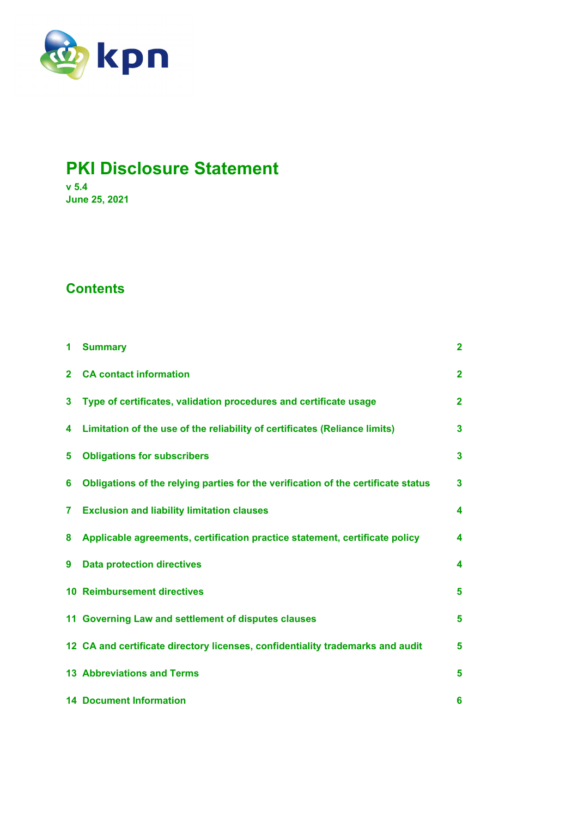

# **PKI Disclosure Statement**

**v 5.4 June 25, 2021** 

# **Contents**

| 1              | <b>Summary</b>                                                                    | $\overline{2}$ |
|----------------|-----------------------------------------------------------------------------------|----------------|
| $\overline{2}$ | <b>CA contact information</b>                                                     | $\overline{2}$ |
| 3              | Type of certificates, validation procedures and certificate usage                 | $\overline{2}$ |
| 4              | Limitation of the use of the reliability of certificates (Reliance limits)        | 3              |
| 5              | <b>Obligations for subscribers</b>                                                | $\mathbf{3}$   |
| 6              | Obligations of the relying parties for the verification of the certificate status | 3              |
| 7              | <b>Exclusion and liability limitation clauses</b>                                 | 4              |
| 8              | Applicable agreements, certification practice statement, certificate policy       | 4              |
| 9              | <b>Data protection directives</b>                                                 | 4              |
|                | <b>10 Reimbursement directives</b>                                                | 5              |
|                | 11 Governing Law and settlement of disputes clauses                               | 5              |
|                | 12 CA and certificate directory licenses, confidentiality trademarks and audit    | 5              |
|                | <b>13 Abbreviations and Terms</b>                                                 | 5              |
|                | <b>14 Document Information</b>                                                    | 6              |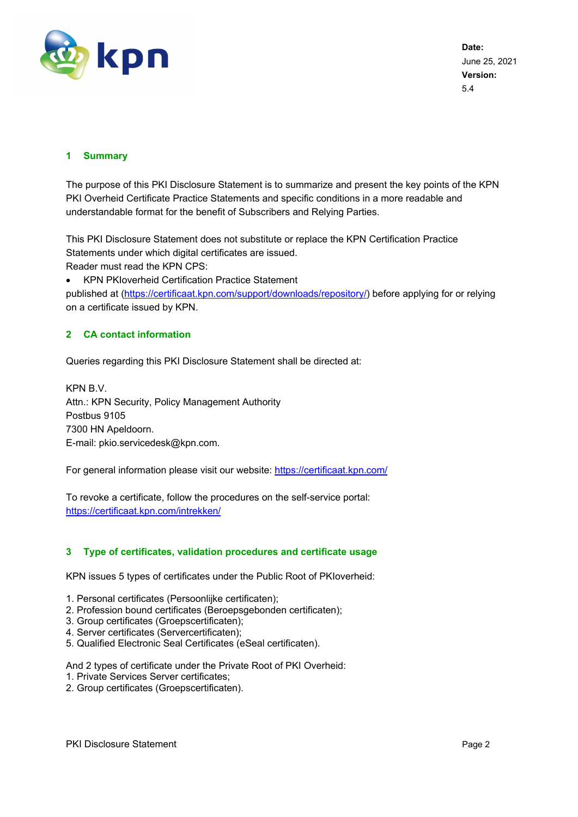

**Date:**  June 25, 2021 **Version:**  5.4

# **1 Summary**

The purpose of this PKI Disclosure Statement is to summarize and present the key points of the KPN PKI Overheid Certificate Practice Statements and specific conditions in a more readable and understandable format for the benefit of Subscribers and Relying Parties.

This PKI Disclosure Statement does not substitute or replace the KPN Certification Practice Statements under which digital certificates are issued. Reader must read the KPN CPS:

KPN PKIoverheid Certification Practice Statement

published at (https://certificaat.kpn.com/support/downloads/repository/) before applying for or relying on a certificate issued by KPN.

# **2 CA contact information**

Queries regarding this PKI Disclosure Statement shall be directed at:

KPN B.V. Attn.: KPN Security, Policy Management Authority Postbus 9105 7300 HN Apeldoorn. E-mail: pkio.servicedesk@kpn.com.

For general information please visit our website: https://certificaat.kpn.com/

To revoke a certificate, follow the procedures on the self-service portal: https://certificaat.kpn.com/intrekken/

#### **3 Type of certificates, validation procedures and certificate usage**

KPN issues 5 types of certificates under the Public Root of PKIoverheid:

- 1. Personal certificates (Persoonlijke certificaten);
- 2. Profession bound certificates (Beroepsgebonden certificaten);
- 3. Group certificates (Groepscertificaten);
- 4. Server certificates (Servercertificaten);
- 5. Qualified Electronic Seal Certificates (eSeal certificaten).

And 2 types of certificate under the Private Root of PKI Overheid:

- 1. Private Services Server certificates;
- 2. Group certificates (Groepscertificaten).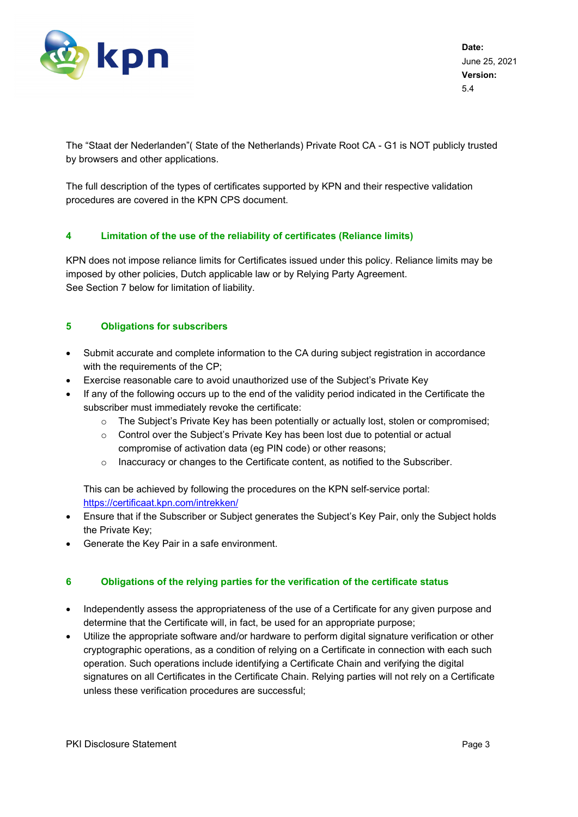

The "Staat der Nederlanden"( State of the Netherlands) Private Root CA - G1 is NOT publicly trusted by browsers and other applications.

The full description of the types of certificates supported by KPN and their respective validation procedures are covered in the KPN CPS document.

# **4 Limitation of the use of the reliability of certificates (Reliance limits)**

KPN does not impose reliance limits for Certificates issued under this policy. Reliance limits may be imposed by other policies, Dutch applicable law or by Relying Party Agreement. See Section 7 below for limitation of liability.

# **5 Obligations for subscribers**

- Submit accurate and complete information to the CA during subject registration in accordance with the requirements of the CP;
- Exercise reasonable care to avoid unauthorized use of the Subject's Private Key
- If any of the following occurs up to the end of the validity period indicated in the Certificate the subscriber must immediately revoke the certificate:
	- $\circ$  The Subject's Private Key has been potentially or actually lost, stolen or compromised;
	- $\circ$  Control over the Subject's Private Key has been lost due to potential or actual compromise of activation data (eg PIN code) or other reasons;
	- $\circ$  Inaccuracy or changes to the Certificate content, as notified to the Subscriber.

This can be achieved by following the procedures on the KPN self-service portal: https://certificaat.kpn.com/intrekken/

- Ensure that if the Subscriber or Subject generates the Subject's Key Pair, only the Subject holds the Private Key;
- Generate the Key Pair in a safe environment.

#### **6 Obligations of the relying parties for the verification of the certificate status**

- Independently assess the appropriateness of the use of a Certificate for any given purpose and determine that the Certificate will, in fact, be used for an appropriate purpose;
- Utilize the appropriate software and/or hardware to perform digital signature verification or other cryptographic operations, as a condition of relying on a Certificate in connection with each such operation. Such operations include identifying a Certificate Chain and verifying the digital signatures on all Certificates in the Certificate Chain. Relying parties will not rely on a Certificate unless these verification procedures are successful;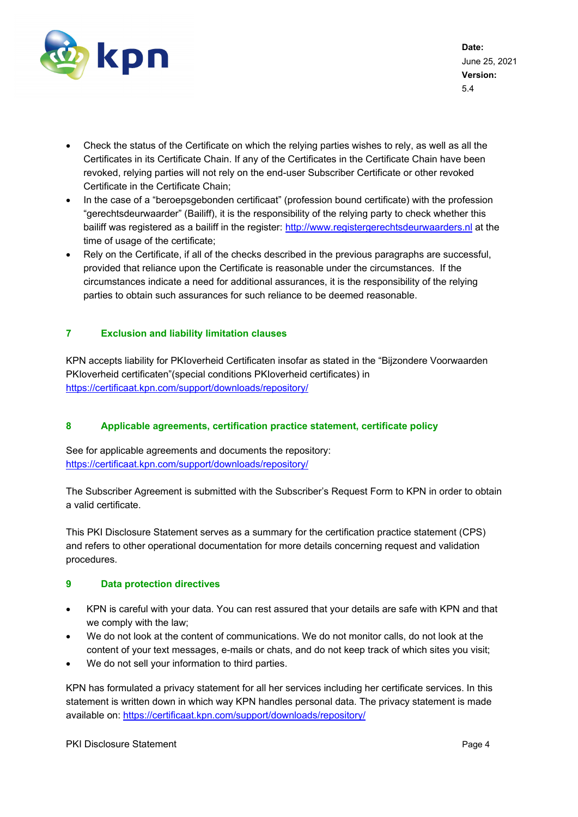

**Date:**  June 25, 2021 **Version:**  5.4

- Check the status of the Certificate on which the relying parties wishes to rely, as well as all the Certificates in its Certificate Chain. If any of the Certificates in the Certificate Chain have been revoked, relying parties will not rely on the end-user Subscriber Certificate or other revoked Certificate in the Certificate Chain;
- In the case of a "beroepsgebonden certificaat" (profession bound certificate) with the profession "gerechtsdeurwaarder" (Bailiff), it is the responsibility of the relying party to check whether this bailiff was registered as a bailiff in the register: http://www.registergerechtsdeurwaarders.nl at the time of usage of the certificate;
- Rely on the Certificate, if all of the checks described in the previous paragraphs are successful, provided that reliance upon the Certificate is reasonable under the circumstances. If the circumstances indicate a need for additional assurances, it is the responsibility of the relying parties to obtain such assurances for such reliance to be deemed reasonable.

# **7 Exclusion and liability limitation clauses**

KPN accepts liability for PKIoverheid Certificaten insofar as stated in the "Bijzondere Voorwaarden PKIoverheid certificaten"(special conditions PKIoverheid certificates) in https://certificaat.kpn.com/support/downloads/repository/

#### **8 Applicable agreements, certification practice statement, certificate policy**

See for applicable agreements and documents the repository: https://certificaat.kpn.com/support/downloads/repository/

The Subscriber Agreement is submitted with the Subscriber's Request Form to KPN in order to obtain a valid certificate.

This PKI Disclosure Statement serves as a summary for the certification practice statement (CPS) and refers to other operational documentation for more details concerning request and validation procedures.

#### **9 Data protection directives**

- KPN is careful with your data. You can rest assured that your details are safe with KPN and that we comply with the law;
- We do not look at the content of communications. We do not monitor calls, do not look at the content of your text messages, e-mails or chats, and do not keep track of which sites you visit;
- We do not sell your information to third parties.

KPN has formulated a privacy statement for all her services including her certificate services. In this statement is written down in which way KPN handles personal data. The privacy statement is made available on: https://certificaat.kpn.com/support/downloads/repository/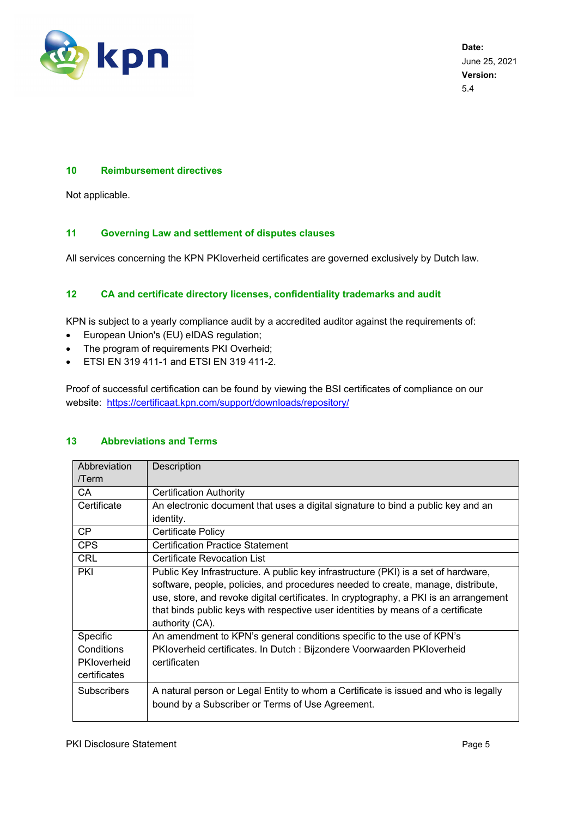

**Date:**  June 25, 2021 **Version:**  5.4

#### **10 Reimbursement directives**

Not applicable.

#### **11 Governing Law and settlement of disputes clauses**

All services concerning the KPN PKIoverheid certificates are governed exclusively by Dutch law.

#### **12 CA and certificate directory licenses, confidentiality trademarks and audit**

KPN is subject to a yearly compliance audit by a accredited auditor against the requirements of:

- European Union's (EU) eIDAS regulation;
- The program of requirements PKI Overheid;
- ETSI EN 319 411-1 and ETSI EN 319 411-2.

Proof of successful certification can be found by viewing the BSI certificates of compliance on our website: https://certificaat.kpn.com/support/downloads/repository/

| Abbreviation       | Description                                                                                         |  |  |  |  |
|--------------------|-----------------------------------------------------------------------------------------------------|--|--|--|--|
| /Term              |                                                                                                     |  |  |  |  |
| CA                 | <b>Certification Authority</b>                                                                      |  |  |  |  |
| Certificate        | An electronic document that uses a digital signature to bind a public key and an                    |  |  |  |  |
|                    | identity.                                                                                           |  |  |  |  |
| <b>CP</b>          | Certificate Policy                                                                                  |  |  |  |  |
| <b>CPS</b>         | <b>Certification Practice Statement</b>                                                             |  |  |  |  |
| <b>CRL</b>         | <b>Certificate Revocation List</b>                                                                  |  |  |  |  |
| <b>PKI</b>         | Public Key Infrastructure. A public key infrastructure (PKI) is a set of hardware,                  |  |  |  |  |
|                    | software, people, policies, and procedures needed to create, manage, distribute,                    |  |  |  |  |
|                    | use, store, and revoke digital certificates. In cryptography, a PKI is an arrangement               |  |  |  |  |
|                    | that binds public keys with respective user identities by means of a certificate<br>authority (CA). |  |  |  |  |
| Specific           | An amendment to KPN's general conditions specific to the use of KPN's                               |  |  |  |  |
| Conditions         | PKIoverheid certificates. In Dutch: Bijzondere Voorwaarden PKIoverheid                              |  |  |  |  |
| <b>PKIoverheid</b> | certificaten                                                                                        |  |  |  |  |
| certificates       |                                                                                                     |  |  |  |  |
| <b>Subscribers</b> | A natural person or Legal Entity to whom a Certificate is issued and who is legally                 |  |  |  |  |
|                    | bound by a Subscriber or Terms of Use Agreement.                                                    |  |  |  |  |
|                    |                                                                                                     |  |  |  |  |

# **13 Abbreviations and Terms**